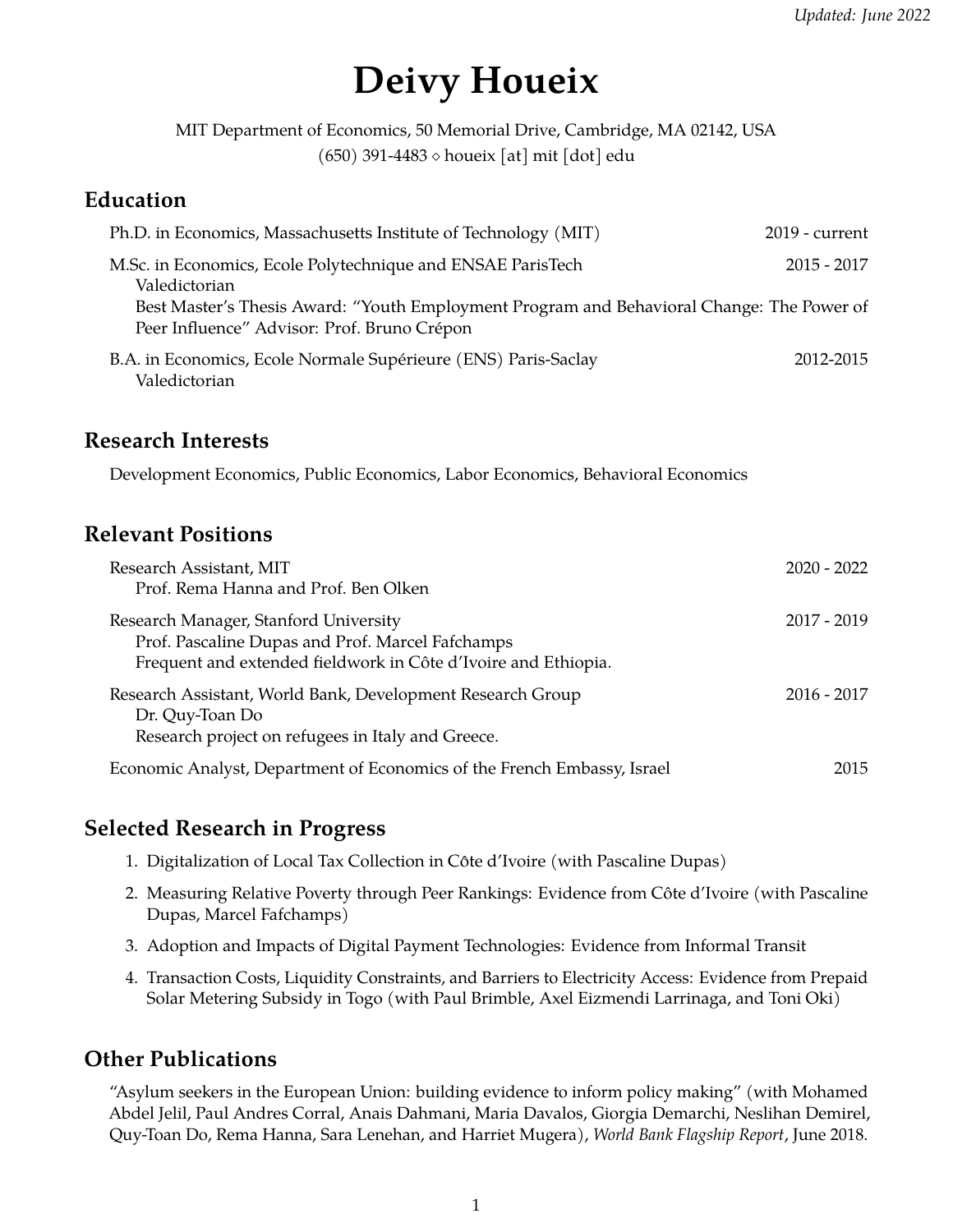# **Deivy Houeix**

MIT Department of Economics, 50 Memorial Drive, Cambridge, MA 02142, USA  $(650)$  391-4483  $\diamond$  houeix [at] mit [dot] edu

## **Education**

| Ph.D. in Economics, Massachusetts Institute of Technology (MIT)                                                                          | $2019$ - current |
|------------------------------------------------------------------------------------------------------------------------------------------|------------------|
| M.Sc. in Economics, Ecole Polytechnique and ENSAE ParisTech<br>Valedictorian                                                             | $2015 - 2017$    |
| Best Master's Thesis Award: "Youth Employment Program and Behavioral Change: The Power of<br>Peer Influence" Advisor: Prof. Bruno Crépon |                  |
| B.A. in Economics, Ecole Normale Supérieure (ENS) Paris-Saclay<br>Valedictorian                                                          | 2012-2015        |

#### **Research Interests**

Development Economics, Public Economics, Labor Economics, Behavioral Economics

#### **Relevant Positions**

| Research Assistant, MIT<br>Prof. Rema Hanna and Prof. Ben Olken                                                                                             | $2020 - 2022$ |
|-------------------------------------------------------------------------------------------------------------------------------------------------------------|---------------|
| Research Manager, Stanford University<br>Prof. Pascaline Dupas and Prof. Marcel Fafchamps<br>Frequent and extended fieldwork in Côte d'Ivoire and Ethiopia. | $2017 - 2019$ |
| Research Assistant, World Bank, Development Research Group<br>Dr. Quy-Toan Do<br>Research project on refugees in Italy and Greece.                          | $2016 - 2017$ |
| Economic Analyst, Department of Economics of the French Embassy, Israel                                                                                     | 2015          |

## **Selected Research in Progress**

- 1. Digitalization of Local Tax Collection in Cote d'Ivoire (with Pascaline Dupas) ˆ
- 2. Measuring Relative Poverty through Peer Rankings: Evidence from Côte d'Ivoire (with Pascaline Dupas, Marcel Fafchamps)
- 3. Adoption and Impacts of Digital Payment Technologies: Evidence from Informal Transit
- 4. Transaction Costs, Liquidity Constraints, and Barriers to Electricity Access: Evidence from Prepaid Solar Metering Subsidy in Togo (with Paul Brimble, Axel Eizmendi Larrinaga, and Toni Oki)

## **Other Publications**

"Asylum seekers in the European Union: building evidence to inform policy making" (with Mohamed Abdel Jelil, Paul Andres Corral, Anais Dahmani, Maria Davalos, Giorgia Demarchi, Neslihan Demirel, Quy-Toan Do, Rema Hanna, Sara Lenehan, and Harriet Mugera), *World Bank Flagship Report*, June 2018.